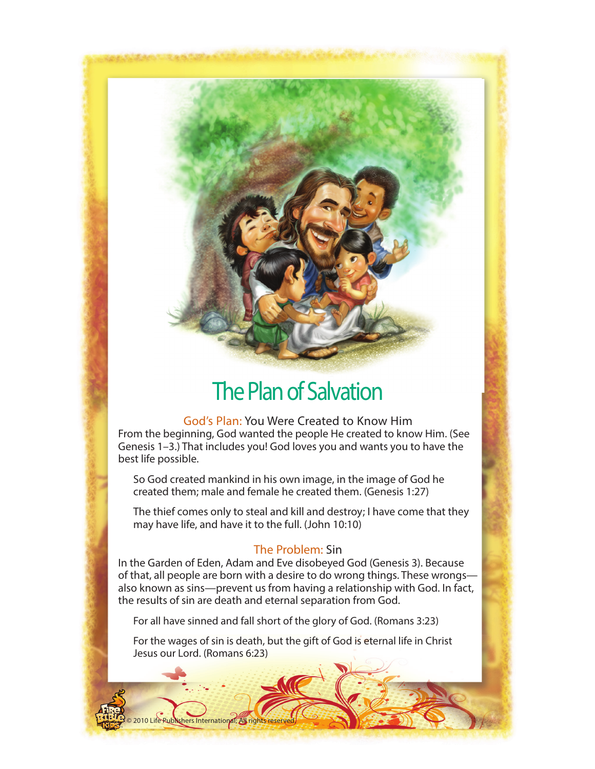# The Plan of Salvation

God's Plan: You Were Created to Know Him From the beginning, God wanted the people He created to know Him. (See Genesis 1–3.) That includes you! God loves you and wants you to have the best life possible.

 So God created mankind in his own image, in the image of God he created them; male and female he created them. (Genesis 1:27)

 The thief comes only to steal and kill and destroy; I have come that they may have life, and have it to the full. (John 10:10)

## The Problem: Sin

In the Garden of Eden, Adam and Eve disobeyed God (Genesis 3). Because of that, all people are born with a desire to do wrong things. These wrongs also known as sins—prevent us from having a relationship with God. In fact, the results of sin are death and eternal separation from God.

For all have sinned and fall short of the glory of God. (Romans 3:23)

 For the wages of sin is death, but the gift of God is eternal life in Christ Jesus our Lord. (Romans 6:23)

shers International; All rights reserved.